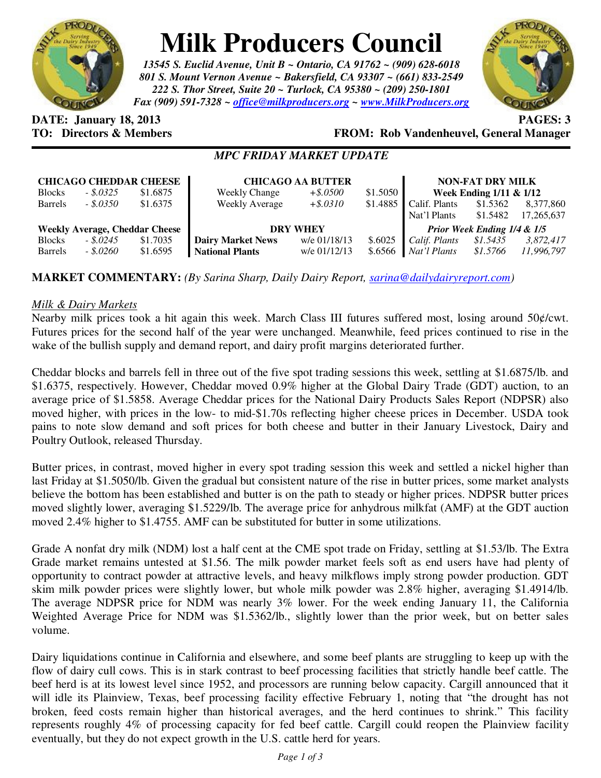

# **Milk Producers Council**

*13545 S. Euclid Avenue, Unit B ~ Ontario, CA 91762 ~ (909) 628-6018 801 S. Mount Vernon Avenue ~ Bakersfield, CA 93307 ~ (661) 833-2549 222 S. Thor Street, Suite 20 ~ Turlock, CA 95380 ~ (209) 250-1801 Fax (909) 591-7328 ~ office@milkproducers.org ~ www.MilkProducers.org*



# **DATE: January 18, 2013 PAGES: 3**

**TO: Directors & Members FROM: Rob Vandenheuvel, General Manager** 

# *MPC FRIDAY MARKET UPDATE*

| <b>CHICAGO CHEDDAR CHEESE</b><br>\$1.6875<br>$-.5.0325$<br><b>Blocks</b> |                          |                      | <b>Weekly Change</b>                               | <b>CHICAGO AA BUTTER</b><br>$+$ \$.0500 | \$1.5050           |                               | <b>NON-FAT DRY MILK</b><br>Week Ending 1/11 & 1/12 |                         |
|--------------------------------------------------------------------------|--------------------------|----------------------|----------------------------------------------------|-----------------------------------------|--------------------|-------------------------------|----------------------------------------------------|-------------------------|
| <b>Barrels</b>                                                           | $-.5.0350$               | \$1.6375             | <b>Weekly Average</b>                              | $+ $.0310$                              | \$1.4885           | Calif. Plants<br>Nat'l Plants | \$1.5362<br>\$1.5482                               | 8,377,860<br>17,265,637 |
| <b>Weekly Average, Cheddar Cheese</b>                                    |                          |                      | <b>DRY WHEY</b>                                    |                                         |                    | Prior Week Ending 1/4 & 1/5   |                                                    |                         |
| <b>Blocks</b><br><b>Barrels</b>                                          | $-.5.0245$<br>$-.8.0260$ | \$1.7035<br>\$1.6595 | <b>Dairy Market News</b><br><b>National Plants</b> | w/e 01/18/13<br>w/e 01/12/13            | \$.6025<br>\$.6566 | Calif. Plants<br>Nat'l Plants | \$1.5435<br>\$1.5766                               | 3,872,417<br>11,996,797 |

# **MARKET COMMENTARY:** *(By Sarina Sharp, Daily Dairy Report, sarina@dailydairyreport.com)*

#### *Milk & Dairy Markets*

Nearby milk prices took a hit again this week. March Class III futures suffered most, losing around 50¢/cwt. Futures prices for the second half of the year were unchanged. Meanwhile, feed prices continued to rise in the wake of the bullish supply and demand report, and dairy profit margins deteriorated further.

Cheddar blocks and barrels fell in three out of the five spot trading sessions this week, settling at \$1.6875/lb. and \$1.6375, respectively. However, Cheddar moved 0.9% higher at the Global Dairy Trade (GDT) auction, to an average price of \$1.5858. Average Cheddar prices for the National Dairy Products Sales Report (NDPSR) also moved higher, with prices in the low- to mid-\$1.70s reflecting higher cheese prices in December. USDA took pains to note slow demand and soft prices for both cheese and butter in their January Livestock, Dairy and Poultry Outlook, released Thursday.

Butter prices, in contrast, moved higher in every spot trading session this week and settled a nickel higher than last Friday at \$1.5050/lb. Given the gradual but consistent nature of the rise in butter prices, some market analysts believe the bottom has been established and butter is on the path to steady or higher prices. NDPSR butter prices moved slightly lower, averaging \$1.5229/lb. The average price for anhydrous milkfat (AMF) at the GDT auction moved 2.4% higher to \$1.4755. AMF can be substituted for butter in some utilizations.

Grade A nonfat dry milk (NDM) lost a half cent at the CME spot trade on Friday, settling at \$1.53/lb. The Extra Grade market remains untested at \$1.56. The milk powder market feels soft as end users have had plenty of opportunity to contract powder at attractive levels, and heavy milkflows imply strong powder production. GDT skim milk powder prices were slightly lower, but whole milk powder was 2.8% higher, averaging \$1.4914/lb. The average NDPSR price for NDM was nearly 3% lower. For the week ending January 11, the California Weighted Average Price for NDM was \$1.5362/lb., slightly lower than the prior week, but on better sales volume.

Dairy liquidations continue in California and elsewhere, and some beef plants are struggling to keep up with the flow of dairy cull cows. This is in stark contrast to beef processing facilities that strictly handle beef cattle. The beef herd is at its lowest level since 1952, and processors are running below capacity. Cargill announced that it will idle its Plainview, Texas, beef processing facility effective February 1, noting that "the drought has not broken, feed costs remain higher than historical averages, and the herd continues to shrink." This facility represents roughly 4% of processing capacity for fed beef cattle. Cargill could reopen the Plainview facility eventually, but they do not expect growth in the U.S. cattle herd for years.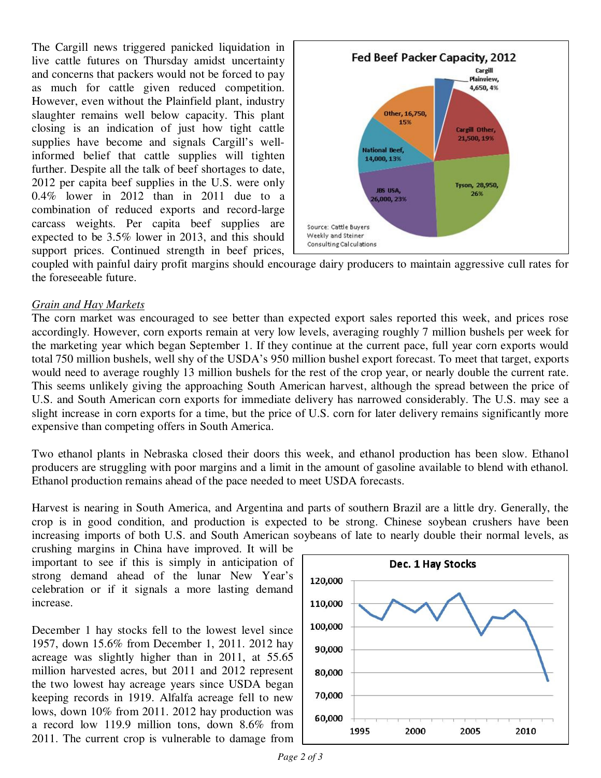The Cargill news triggered panicked liquidation in live cattle futures on Thursday amidst uncertainty and concerns that packers would not be forced to pay as much for cattle given reduced competition. However, even without the Plainfield plant, industry slaughter remains well below capacity. This plant closing is an indication of just how tight cattle supplies have become and signals Cargill's wellinformed belief that cattle supplies will tighten further. Despite all the talk of beef shortages to date, 2012 per capita beef supplies in the U.S. were only 0.4% lower in 2012 than in 2011 due to a combination of reduced exports and record-large carcass weights. Per capita beef supplies are expected to be 3.5% lower in 2013, and this should support prices. Continued strength in beef prices,



coupled with painful dairy profit margins should encourage dairy producers to maintain aggressive cull rates for the foreseeable future.

#### *Grain and Hay Markets*

The corn market was encouraged to see better than expected export sales reported this week, and prices rose accordingly. However, corn exports remain at very low levels, averaging roughly 7 million bushels per week for the marketing year which began September 1. If they continue at the current pace, full year corn exports would total 750 million bushels, well shy of the USDA's 950 million bushel export forecast. To meet that target, exports would need to average roughly 13 million bushels for the rest of the crop year, or nearly double the current rate. This seems unlikely giving the approaching South American harvest, although the spread between the price of U.S. and South American corn exports for immediate delivery has narrowed considerably. The U.S. may see a slight increase in corn exports for a time, but the price of U.S. corn for later delivery remains significantly more expensive than competing offers in South America.

Two ethanol plants in Nebraska closed their doors this week, and ethanol production has been slow. Ethanol producers are struggling with poor margins and a limit in the amount of gasoline available to blend with ethanol. Ethanol production remains ahead of the pace needed to meet USDA forecasts.

Harvest is nearing in South America, and Argentina and parts of southern Brazil are a little dry. Generally, the crop is in good condition, and production is expected to be strong. Chinese soybean crushers have been increasing imports of both U.S. and South American soybeans of late to nearly double their normal levels, as

crushing margins in China have improved. It will be important to see if this is simply in anticipation of strong demand ahead of the lunar New Year's celebration or if it signals a more lasting demand increase.

December 1 hay stocks fell to the lowest level since 1957, down 15.6% from December 1, 2011. 2012 hay acreage was slightly higher than in 2011, at 55.65 million harvested acres, but 2011 and 2012 represent the two lowest hay acreage years since USDA began keeping records in 1919. Alfalfa acreage fell to new lows, down 10% from 2011. 2012 hay production was a record low 119.9 million tons, down 8.6% from 2011. The current crop is vulnerable to damage from